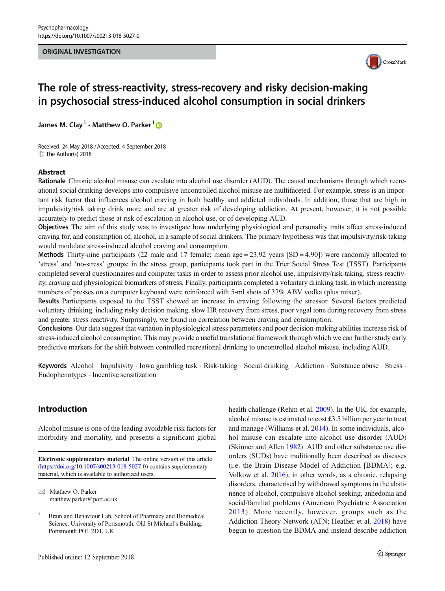### ORIGINAL INVESTIGATION



# The role of stress-reactivity, stress-recovery and risky decision-making in psychosocial stress-induced alcohol consumption in social drinkers

James M. Clay<sup>1</sup>  $\cdot$  Matthew O. Parker<sup>1</sup>  $\odot$ 

Received: 24 May 2018 / Accepted: 4 September 2018 C The Author(s) 2018

# Abstract

Rationale Chronic alcohol misuse can escalate into alcohol use disorder (AUD). The causal mechanisms through which recreational social drinking develops into compulsive uncontrolled alcohol misuse are multifaceted. For example, stress is an important risk factor that influences alcohol craving in both healthy and addicted individuals. In addition, those that are high in impulsivity/risk taking drink more and are at greater risk of developing addiction. At present, however, it is not possible accurately to predict those at risk of escalation in alcohol use, or of developing AUD.

Objectives The aim of this study was to investigate how underlying physiological and personality traits affect stress-induced craving for, and consumption of, alcohol, in a sample of social drinkers. The primary hypothesis was that impulsivity/risk-taking would modulate stress-induced alcohol craving and consumption.

Methods Thirty-nine participants (22 male and 17 female; mean  $age = 23.92$  years  $[SD = 4.90]$ ) were randomly allocated to 'stress' and 'no-stress' groups; in the stress group, participants took part in the Trier Social Stress Test (TSST). Participants completed several questionnaires and computer tasks in order to assess prior alcohol use, impulsivity/risk-taking, stress-reactivity, craving and physiological biomarkers of stress. Finally, participants completed a voluntary drinking task, in which increasing numbers of presses on a computer keyboard were reinforced with 5-ml shots of 37% ABV vodka (plus mixer).

Results Participants exposed to the TSST showed an increase in craving following the stressor. Several factors predicted voluntary drinking, including risky decision making, slow HR recovery from stress, poor vagal tone during recovery from stress and greater stress reactivity. Surprisingly, we found no correlation between craving and consumption.

Conclusions Our data suggest that variation in physiological stress parameters and poor decision-making abilities increase risk of stress-induced alcohol consumption. This may provide a useful translational framework through which we can further study early predictive markers for the shift between controlled recreational drinking to uncontrolled alcohol misuse, including AUD.

Keywords Alcohol · Impulsivity · Iowa gambling task · Risk-taking · Social drinking · Addiction · Substance abuse · Stress · Endophenotypes . Incentive sensitization

# Introduction

Alcohol misuse is one of the leading avoidable risk factors for morbidity and mortality, and presents a significant global

 $\boxtimes$  Matthew O. Parker [matthew.parker@port.ac.uk](mailto:matthew.parker@port.ac.uk) health challenge (Rehm et al. [2009](#page-13-0)). In the UK, for example, alcohol misuse is estimated to cost £3.5 billion per year to treat and manage (Williams et al. [2014](#page-14-0)). In some individuals, alcohol misuse can escalate into alcohol use disorder (AUD) (Skinner and Allen [1982\)](#page-13-0). AUD and other substance use disorders (SUDs) have traditionally been described as diseases (i.e. the Brain Disease Model of Addiction [BDMA]; e.g. Volkow et al. [2016](#page-14-0)), in other words, as a chronic, relapsing disorders, characterised by withdrawal symptoms in the abstinence of alcohol, compulsive alcohol seeking, anhedonia and social/familial problems (American Psychiatric Association [2013\)](#page-11-0). More recently, however, groups such as the Addiction Theory Network (ATN; Heather et al. [2018\)](#page-12-0) have begun to question the BDMA and instead describe addiction

Electronic supplementary material The online version of this article (<https://doi.org/10.1007/s00213-018-5027-0>) contains supplementary material, which is available to authorized users.

<sup>1</sup> Brain and Behaviour Lab, School of Pharmacy and Biomedical Science, University of Portsmouth, Old St Michael's Building, Portsmouth PO1 2DT, UK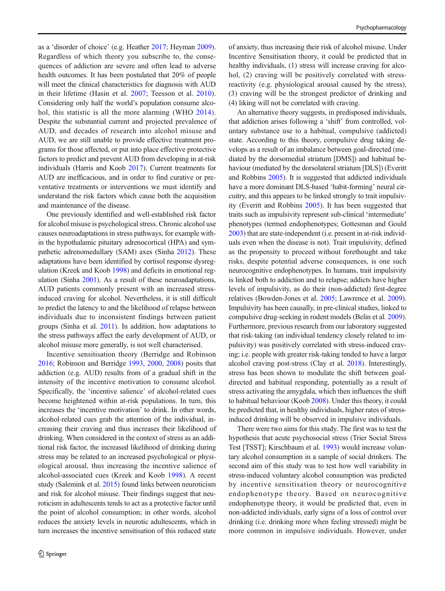as a 'disorder of choice' (e.g. Heather [2017](#page-12-0); Heyman [2009\)](#page-12-0). Regardless of which theory you subscribe to, the consequences of addiction are severe and often lead to adverse health outcomes. It has been postulated that 20% of people will meet the clinical characteristics for diagnosis with AUD in their lifetime (Hasin et al. [2007](#page-12-0); Teesson et al. [2010](#page-14-0)). Considering only half the world's population consume alcohol, this statistic is all the more alarming (WHO [2014](#page-14-0)). Despite the substantial current and projected prevalence of AUD, and decades of research into alcohol misuse and AUD, we are still unable to provide effective treatment programs for those affected, or put into place effective protective factors to predict and prevent AUD from developing in at-risk individuals (Harris and Koob [2017\)](#page-12-0). Current treatments for AUD are inefficacious, and in order to find curative or preventative treatments or interventions we must identify and understand the risk factors which cause both the acquisition and maintenance of the disease.

One previously identified and well-established risk factor for alcohol misuse is psychological stress. Chronic alcohol use causes neuroadaptations in stress pathways, for example within the hypothalamic pituitary adrenocortical (HPA) and sympathetic adrenomedullary (SAM) axes (Sinha [2012](#page-13-0)). These adaptations have been identified by cortisol response dysregulation (Kreek and Koob [1998\)](#page-13-0) and deficits in emotional regulation (Sinha [2001\)](#page-13-0). As a result of these neuroadaptations, AUD patients commonly present with an increased stressinduced craving for alcohol. Nevertheless, it is still difficult to predict the latency to and the likelihood of relapse between individuals due to inconsistent findings between patient groups (Sinha et al. [2011\)](#page-13-0). In addition, how adaptations to the stress pathways affect the early development of AUD, or alcohol misuse more generally, is not well characterised.

Incentive sensitisation theory (Berridge and Robinson [2016;](#page-12-0) Robinson and Berridge [1993,](#page-13-0) [2000,](#page-13-0) [2008](#page-13-0)) posits that addiction (e.g. AUD) results from of a gradual shift in the intensity of the incentive motivation to consume alcohol. Specifically, the 'incentive salience' of alcohol-related cues become heightened within at-risk populations. In turn, this increases the 'incentive motivation' to drink. In other words, alcohol-related cues grab the attention of the individual, increasing their craving and thus increases their likelihood of drinking. When considered in the context of stress as an additional risk factor, the increased likelihood of drinking during stress may be related to an increased psychological or physiological arousal, thus increasing the incentive salience of alcohol-associated cues (Kreek and Koob [1998\)](#page-13-0). A recent study (Salemink et al. [2015](#page-13-0)) found links between neuroticism and risk for alcohol misuse. Their findings suggest that neuroticism in adultescents tends to act as a protective factor until the point of alcohol consumption; in other words, alcohol reduces the anxiety levels in neurotic adultescents, which in turn increases the incentive sensitisation of this reduced state

of anxiety, thus increasing their risk of alcohol misuse. Under Incentive Sensitisation theory, it could be predicted that in healthy individuals, (1) stress will increase craving for alcohol, (2) craving will be positively correlated with stressreactivity (e.g. physiological arousal caused by the stress), (3) craving will be the strongest predictor of drinking and (4) liking will not be correlated with craving.

An alternative theory suggests, in predisposed individuals, that addiction arises following a 'shift' from controlled, voluntary substance use to a habitual, compulsive (addicted) state. According to this theory, compulsive drug taking develops as a result of an imbalance between goal-directed (mediated by the dorsomedial striatum [DMS]) and habitual behaviour (mediated by the dorsolateral striatum [DLS]) (Everitt and Robbins [2005\)](#page-12-0). It is suggested that addicted individuals have a more dominant DLS-based 'habit-forming' neural circuitry, and this appears to be linked strongly to trait impulsivity (Everitt and Robbins [2005](#page-12-0)). It has been suggested that traits such as impulsivity represent sub-clinical 'intermediate' phenotypes (termed endophenotypes; Gottesman and Gould [2003\)](#page-12-0) that are state-independent (i.e. present in at-risk individuals even when the disease is not). Trait impulsivity, defined as the propensity to proceed without forethought and take risks, despite potential adverse consequences, is one such neurocognitive endophenotypes. In humans, trait impulsivity is linked both to addiction and to relapse; addicts have higher levels of impulsivity, as do their (non-addicted) first-degree relatives (Bowden-Jones et al. [2005](#page-12-0); Lawrence et al. [2009\)](#page-13-0). Impulsivity has been causally, in pre-clinical studies, linked to compulsive drug-seeking in rodent models (Belin et al. [2009\)](#page-12-0). Furthermore, previous research from our laboratory suggested that risk-taking (an individual tendency closely related to impulsivity) was positively correlated with stress-induced craving; i.e. people with greater risk-taking tended to have a larger alcohol craving post-stress (Clay et al. [2018](#page-12-0)). Interestingly, stress has been shown to modulate the shift between goaldirected and habitual responding, potentially as a result of stress activating the amygdala, which then influences the shift to habitual behaviour (Koob [2008](#page-13-0)). Under this theory, it could be predicted that, in healthy individuals, higher rates of stressinduced drinking will be observed in impulsive individuals.

There were two aims for this study. The first was to test the hypothesis that acute psychosocial stress (Trier Social Stress Test [TSST]; Kirschbaum et al. [1993](#page-12-0)) would increase voluntary alcohol consumption in a sample of social drinkers. The second aim of this study was to test how well variability in stress-induced voluntary alcohol consumption was predicted by incentive sensitisation theory or neurocognitive endophenotype theory. Based on neurocognitive endophenotype theory, it would be predicted that, even in non-addicted individuals, early signs of a loss of control over drinking (i.e. drinking more when feeling stressed) might be more common in impulsive individuals. However, under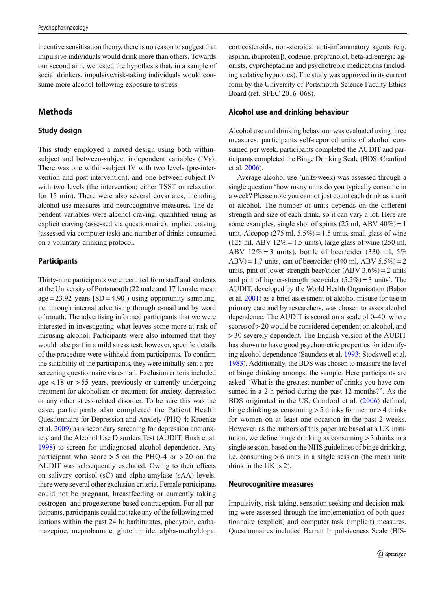incentive sensitisation theory, there is no reason to suggest that impulsive individuals would drink more than others. Towards our second aim, we tested the hypothesis that, in a sample of social drinkers, impulsive/risk-taking individuals would consume more alcohol following exposure to stress.

# Methods

# Study design

This study employed a mixed design using both withinsubject and between-subject independent variables (IVs). There was one within-subject IV with two levels (pre-intervention and post-intervention), and one between-subject IV with two levels (the intervention; either TSST or relaxation for 15 min). There were also several covariates, including alcohol-use measures and neurocognitive measures. The dependent variables were alcohol craving, quantified using as explicit craving (assessed via questionnaire), implicit craving (assessed via computer task) and number of drinks consumed on a voluntary drinking protocol.

# **Participants**

Thirty-nine participants were recruited from staff and students at the University of Portsmouth (22 male and 17 female; mean  $age = 23.92$  years  $[SD = 4.90]$ ) using opportunity sampling, i.e. through internal advertising through e-mail and by word of mouth. The advertising informed participants that we were interested in investigating what leaves some more at risk of misusing alcohol. Participants were also informed that they would take part in a mild stress test; however, specific details of the procedure were withheld from participants. To confirm the suitability of the participants, they were initially sent a prescreening questionnaire via e-mail. Exclusion criteria included age < 18 or > 55 years, previously or currently undergoing treatment for alcoholism or treatment for anxiety, depression or any other stress-related disorder. To be sure this was the case, participants also completed the Patient Health Questionnaire for Depression and Anxiety (PHQ-4; Kroenke et al. [2009](#page-13-0)) as a secondary screening for depression and anxiety and the Alcohol Use Disorders Test (AUDIT; Bush et al. [1998\)](#page-12-0) to screen for undiagnosed alcohol dependence. Any participant who score  $> 5$  on the PHQ-4 or  $> 20$  on the AUDIT was subsequently excluded. Owing to their effects on salivary cortisol (sC) and alpha-amylase (sAA) levels, there were several other exclusion criteria. Female participants could not be pregnant, breastfeeding or currently taking oestrogen- and progesterone-based contraception. For all participants, participants could not take any of the following medications within the past 24 h: barbiturates, phenytoin, carbamazepine, meprobamate, glutethimide, alpha-methyldopa,

corticosteroids, non-steroidal anti-inflammatory agents (e.g. aspirin, ibuprofen]), codeine, propranolol, beta-adrenergic agonists, cyproheptadine and psychotropic medications (including sedative hypnotics). The study was approved in its current form by the University of Portsmouth Science Faculty Ethics Board (ref. SFEC 2016–068).

# Alcohol use and drinking behaviour

Alcohol use and drinking behaviour was evaluated using three measures: participants self-reported units of alcohol consumed per week, participants completed the AUDIT and participants completed the Binge Drinking Scale (BDS; Cranford et al. [2006](#page-12-0)).

Average alcohol use (units/week) was assessed through a single question 'how many units do you typically consume in a week? Please note you cannot just count each drink as a unit of alcohol. The number of units depends on the different strength and size of each drink, so it can vary a lot. Here are some examples, single shot of spirits  $(25 \text{ ml}, ABV 40\%) = 1$ unit, Alcopop (275 ml,  $5.5\%$ ) = 1.5 units, small glass of wine (125 ml, ABV 12% = 1.5 units), large glass of wine (250 ml, ABV 12% = 3 units), bottle of beer/cider (330 ml,  $5\%$ ) ABV) = 1.7 units, can of beer/cider (440 ml, ABV  $5.5\%$ ) = 2 units, pint of lower strength beer/cider (ABV  $3.6\%$ ) = 2 units and pint of higher-strength beer/cider  $(5.2\%) = 3$  units'. The AUDIT, developed by the World Health Organisation (Babor et al. [2001](#page-11-0)) as a brief assessment of alcohol misuse for use in primary care and by researchers, was chosen to asses alcohol dependence. The AUDIT is scored on a scale of 0–40, where scores of > 20 would be considered dependent on alcohol, and > 30 severely dependent. The English version of the AUDIT has shown to have good psychometric properties for identifying alcohol dependence (Saunders et al. [1993](#page-13-0); Stockwell et al. [1983\)](#page-13-0). Additionally, the BDS was chosen to measure the level of binge drinking amongst the sample. Here participants are asked "What is the greatest number of drinks you have consumed in a 2-h period during the past 12 months?". As the BDS originated in the US, Cranford et al. [\(2006](#page-12-0)) defined, binge drinking as consuming  $> 5$  drinks for men or  $> 4$  drinks for women on at least one occasion in the past 2 weeks. However, as the authors of this paper are based at a UK institution, we define binge drinking as consuming > 3 drinks in a single session, based on the NHS guidelines of binge drinking, i.e. consuming  $> 6$  units in a single session (the mean unit/ drink in the UK is 2).

# Neurocognitive measures

Impulsivity, risk-taking, sensation seeking and decision making were assessed through the implementation of both questionnaire (explicit) and computer task (implicit) measures. Questionnaires included Barratt Impulsiveness Scale (BIS-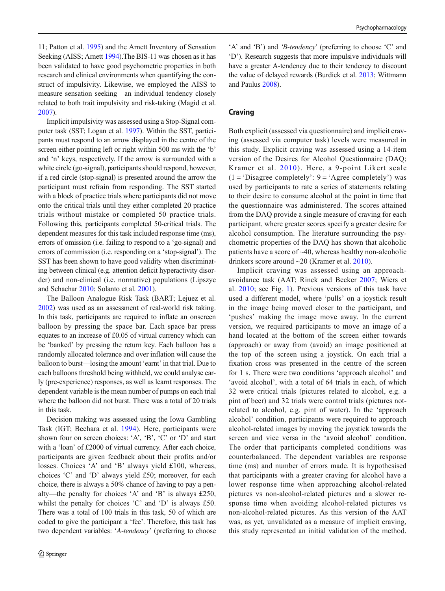11; Patton et al. [1995](#page-13-0)) and the Arnett Inventory of Sensation Seeking (AISS; Arnett [1994\)](#page-11-0).The BIS-11 was chosen as it has been validated to have good psychometric properties in both research and clinical environments when quantifying the construct of impulsivity. Likewise, we employed the AISS to measure sensation seeking—an individual tendency closely related to both trait impulsivity and risk-taking (Magid et al. [2007\)](#page-13-0).

Implicit impulsivity was assessed using a Stop-Signal computer task (SST; Logan et al. [1997](#page-13-0)). Within the SST, participants must respond to an arrow displayed in the centre of the screen either pointing left or right within 500 ms with the 'b' and 'n' keys, respectively. If the arrow is surrounded with a white circle (go-signal), participants should respond, however, if a red circle (stop-signal) is presented around the arrow the participant must refrain from responding. The SST started with a block of practice trials where participants did not move onto the critical trials until they either completed 20 practice trials without mistake or completed 50 practice trials. Following this, participants completed 50-critical trials. The dependent measures for this task included response time (ms), errors of omission (i.e. failing to respond to a 'go-signal) and errors of commission (i.e. responding on a 'stop-signal'). The SST has been shown to have good validity when discriminating between clinical (e.g. attention deficit hyperactivity disorder) and non-clinical (i.e. normative) populations (Lipszyc and Schachar [2010](#page-13-0); Solanto et al. [2001](#page-13-0)).

The Balloon Analogue Risk Task (BART; Lejuez et al. [2002\)](#page-13-0) was used as an assessment of real-world risk taking. In this task, participants are required to inflate an onscreen balloon by pressing the space bar. Each space bar press equates to an increase of £0.05 of virtual currency which can be 'banked' by pressing the return key. Each balloon has a randomly allocated tolerance and over inflation will cause the balloon to burst—losing the amount 'earnt' in that trial. Due to each balloons threshold being withheld, we could analyse early (pre-experience) responses, as well as learnt responses. The dependent variable is the mean number of pumps on each trial where the balloon did not burst. There was a total of 20 trials in this task.

Decision making was assessed using the Iowa Gambling Task (IGT; Bechara et al. [1994\)](#page-12-0). Here, participants were shown four on screen choices: 'A', 'B', 'C' or 'D' and start with a 'loan' of £2000 of virtual currency. After each choice, participants are given feedback about their profits and/or losses. Choices 'A' and 'B' always yield £100, whereas, choices 'C' and 'D' always yield £50; moreover, for each choice, there is always a 50% chance of having to pay a penalty—the penalty for choices 'A' and 'B' is always £250, whilst the penalty for choices 'C' and 'D' is always £50. There was a total of 100 trials in this task, 50 of which are coded to give the participant a 'fee'. Therefore, this task has two dependent variables: 'A-tendency' (preferring to choose

'A' and 'B') and 'B-tendency' (preferring to choose 'C' and 'D'). Research suggests that more impulsive individuals will have a greater A-tendency due to their tendency to discount the value of delayed rewards (Burdick et al. [2013](#page-12-0); Wittmann and Paulus [2008\)](#page-14-0).

### Craving

Both explicit (assessed via questionnaire) and implicit craving (assessed via computer task) levels were measured in this study. Explicit craving was assessed using a 14-item version of the Desires for Alcohol Questionnaire (DAQ; Kramer et al. [2010](#page-13-0)). Here, a 9-point Likert scale  $(1 = 'Disagree completely': 9 = 'Agree completely')$  was used by participants to rate a series of statements relating to their desire to consume alcohol at the point in time that the questionnaire was administered. The scores attained from the DAQ provide a single measure of craving for each participant, where greater scores specify a greater desire for alcohol consumption. The literature surrounding the psychometric properties of the DAQ has shown that alcoholic patients have a score of ~40, whereas healthy non-alcoholic drinkers score around ~20 (Kramer et al. [2010](#page-13-0)).

Implicit craving was assessed using an approachavoidance task (AAT; Rinck and Becker [2007](#page-13-0); Wiers et al. [2010](#page-14-0); see Fig. [1](#page-4-0)). Previous versions of this task have used a different model, where 'pulls' on a joystick result in the image being moved closer to the participant, and 'pushes' making the image move away. In the current version, we required participants to move an image of a hand located at the bottom of the screen either towards (approach) or away from (avoid) an image positioned at the top of the screen using a joystick. On each trial a fixation cross was presented in the centre of the screen for 1 s. There were two conditions 'approach alcohol' and 'avoid alcohol', with a total of 64 trials in each, of which 32 were critical trials (pictures related to alcohol, e.g. a pint of beer) and 32 trials were control trials (pictures notrelated to alcohol, e.g. pint of water). In the 'approach alcohol' condition, participants were required to approach alcohol-related images by moving the joystick towards the screen and vice versa in the 'avoid alcohol' condition. The order that participants completed conditions was counterbalanced. The dependent variables are response time (ms) and number of errors made. It is hypothesised that participants with a greater craving for alcohol have a lower response time when approaching alcohol-related pictures vs non-alcohol-related pictures and a slower response time when avoiding alcohol-related pictures vs non-alcohol-related pictures. As this version of the AAT was, as yet, unvalidated as a measure of implicit craving, this study represented an initial validation of the method.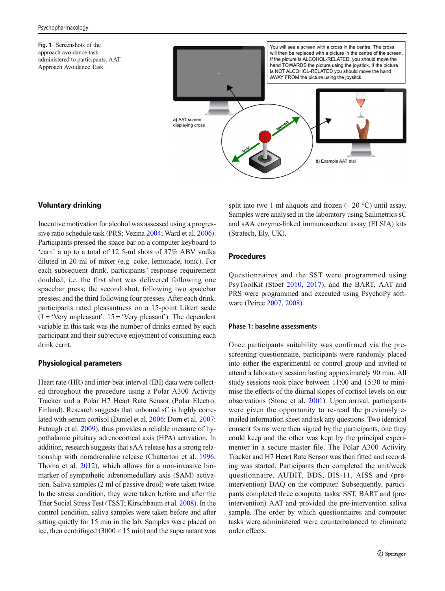<span id="page-4-0"></span>Fig. 1 Screenshots of the approach avoidance task administered to participants. AAT Approach Avoidance Task



# Voluntary drinking

Incentive motivation for alcohol was assessed using a progressive ratio schedule task (PRS; Vezina [2004;](#page-14-0) Ward et al. [2006\)](#page-14-0). Participants pressed the space bar on a computer keyboard to 'earn' a up to a total of 12 5-ml shots of 37% ABV vodka diluted in 20 ml of mixer (e.g. coke, lemonade, tonic). For each subsequent drink, participants' response requirement doubled; i.e. the first shot was delivered following one spacebar press; the second shot, following two spacebar presses; and the third following four presses. After each drink, participants rated pleasantness on a 15-point Likert scale  $(1 = 'Very unpleasant': 15 = 'Very pleasant').$  The dependent variable in this task was the number of drinks earned by each participant and their subjective enjoyment of consuming each drink earnt.

# Physiological parameters

Heart rate (HR) and inter-beat interval (IBI) data were collected throughout the procedure using a Polar A300 Activity Tracker and a Polar H7 Heart Rate Sensor (Polar Electro, Finland). Research suggests that unbound sC is highly correlated with serum cortisol (Daniel et al. [2006](#page-12-0); Dorn et al. [2007](#page-12-0); Eatough et al. [2009\)](#page-12-0), thus provides a reliable measure of hypothalamic pituitary adrenocortical axis (HPA) activation. In addition, research suggests that sAA release has a strong relationship with noradrenaline release (Chatterton et al. [1996](#page-12-0); Thoma et al. [2012](#page-14-0)), which allows for a non-invasive biomarker of sympathetic adrenomedullary axis (SAM) activation. Saliva samples (2 ml of passive drool) were taken twice. In the stress condition, they were taken before and after the Trier Social Stress Test (TSST; Kirschbaum et al. [2008\)](#page-12-0). In the control condition, saliva samples were taken before and after sitting quietly for 15 min in the lab. Samples were placed on ice, then centrifuged  $(3000 \times 15 \text{ min})$  and the supernatant was split into two 1-ml aliquots and frozen  $(-20 °C)$  until assay. Samples were analysed in the laboratory using Salimetrics sC and sAA enzyme-linked immunosorbent assay (ELSIA) kits (Stratech, Ely, UK).

# Procedures

Questionnaires and the SST were programmed using PsyToolKit (Stoet [2010,](#page-13-0) [2017\)](#page-14-0), and the BART, AAT and PRS were programmed and executed using PsychoPy software (Peirce [2007,](#page-13-0) [2008\)](#page-13-0).

#### Phase 1: baseline assessments

Once participants suitability was confirmed via the prescreening questionnaire, participants were randomly placed into either the experimental or control group and invited to attend a laboratory session lasting approximately 90 min. All study sessions took place between 11:00 and 15:30 to minimise the effects of the diurnal slopes of cortisol levels on our observations (Stone et al. [2001](#page-14-0)). Upon arrival, participants were given the opportunity to re-read the previously emailed information sheet and ask any questions. Two identical consent forms were then signed by the participants, one they could keep and the other was kept by the principal experimenter in a secure master file. The Polar A300 Activity Tracker and H7 Heart Rate Sensor was then fitted and recording was started. Participants then completed the unit/week questionnaire, AUDIT, BDS, BIS-11, AISS and (preintervention) DAQ on the computer. Subsequently, participants completed three computer tasks: SST, BART and (preintervention) AAT and provided the pre-intervention saliva sample. The order by which questionnaires and computer tasks were administered were counterbalanced to eliminate order effects.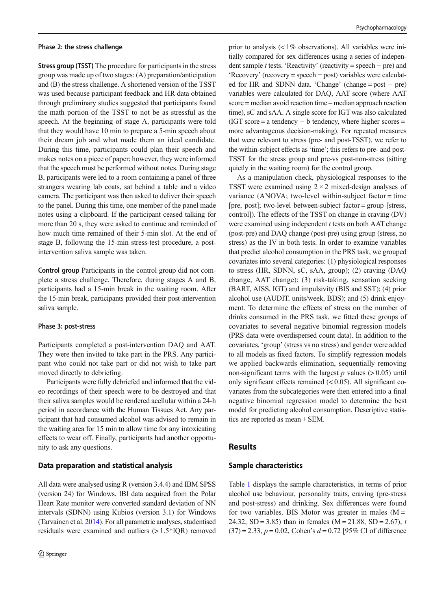#### Phase 2: the stress challenge

Stress group (TSST) The procedure for participants in the stress group was made up of two stages: (A) preparation/anticipation and (B) the stress challenge. A shortened version of the TSST was used because participant feedback and HR data obtained through preliminary studies suggested that participants found the math portion of the TSST to not be as stressful as the speech. At the beginning of stage A, participants were told that they would have 10 min to prepare a 5-min speech about their dream job and what made them an ideal candidate. During this time, participants could plan their speech and makes notes on a piece of paper; however, they were informed that the speech must be performed without notes. During stage B, participants were led to a room containing a panel of three strangers wearing lab coats, sat behind a table and a video camera. The participant was then asked to deliver their speech to the panel. During this time, one member of the panel made notes using a clipboard. If the participant ceased talking for more than 20 s, they were asked to continue and reminded of how much time remained of their 5-min slot. At the end of stage B, following the 15-min stress-test procedure, a postintervention saliva sample was taken.

Control group Participants in the control group did not complete a stress challenge. Therefore, during stages A and B, participants had a 15-min break in the waiting room. After the 15-min break, participants provided their post-intervention saliva sample.

#### Phase 3: post-stress

Participants completed a post-intervention DAQ and AAT. They were then invited to take part in the PRS. Any participant who could not take part or did not wish to take part moved directly to debriefing.

Participants were fully debriefed and informed that the video recordings of their speech were to be destroyed and that their saliva samples would be rendered acellular within a 24-h period in accordance with the Human Tissues Act. Any participant that had consumed alcohol was advised to remain in the waiting area for 15 min to allow time for any intoxicating effects to wear off. Finally, participants had another opportunity to ask any questions.

#### Data preparation and statistical analysis

All data were analysed using R (version 3.4.4) and IBM SPSS (version 24) for Windows. IBI data acquired from the Polar Heart Rate monitor were converted standard deviation of NN intervals (SDNN) using Kubios (version 3.1) for Windows (Tarvainen et al. [2014](#page-14-0)). For all parametric analyses, studentised residuals were examined and outliers (> 1.5\*IQR) removed prior to analysis  $\langle \langle 1\% \rangle$  observations). All variables were initially compared for sex differences using a series of independent sample t tests. 'Reactivity' (reactivity = speech – pre) and 'Recovery' (recovery = speech − post) variables were calculated for HR and SDNN data. 'Change' (change = post  $-$  pre) variables were calculated for DAQ, AAT score (where AAT score = median avoid reaction time – median approach reaction time), sC and sAA. A single score for IGT was also calculated (IGT score = a tendency  $- b$  tendency, where higher scores = more advantageous decision-making). For repeated measures that were relevant to stress (pre- and post-TSST), we refer to the within-subject effects as 'time'; this refers to pre- and post-TSST for the stress group and pre-vs post-non-stress (sitting quietly in the waiting room) for the control group.

As a manipulation check, physiological responses to the TSST were examined using  $2 \times 2$  mixed-design analyses of variance (ANOVA; two-level within-subject factor = time [pre, post]; two-level between-subject factor = group [stress, control]). The effects of the TSST on change in craving (DV) were examined using independent  $t$  tests on both AAT change (post-pre) and DAQ change (post-pre) using group (stress, no stress) as the IV in both tests. In order to examine variables that predict alcohol consumption in the PRS task, we grouped covariates into several categories: (1) physiological responses to stress (HR, SDNN, sC, sAA, group); (2) craving (DAQ change, AAT change); (3) risk-taking, sensation seeking (BART, AISS, IGT) and impulsivity (BIS and SST); (4) prior alcohol use (AUDIT, units/week, BDS); and (5) drink enjoyment. To determine the effects of stress on the number of drinks consumed in the PRS task, we fitted these groups of covariates to several negative binomial regression models (PRS data were overdispersed count data). In addition to the covariates, 'group' (stress vs no stress) and gender were added to all models as fixed factors. To simplify regression models we applied backwards elimination, sequentially removing non-significant terms with the largest  $p$  values ( $> 0.05$ ) until only significant effects remained  $( $0.05$ ). All significant co$ variates from the subcategories were then entered into a final negative binomial regression model to determine the best model for predicting alcohol consumption. Descriptive statistics are reported as mean ± SEM.

#### Results

### Sample characteristics

Table [1](#page-6-0) displays the sample characteristics, in terms of prior alcohol use behaviour, personality traits, craving (pre-stress and post-stress) and drinking. Sex differences were found for two variables. BIS Motor was greater in males  $(M =$ 24.32, SD = 3.85) than in females (M = 21.88, SD = 2.67), t  $(37) = 2.33$ ,  $p = 0.02$ , Cohen's  $d = 0.72$  [95% CI of difference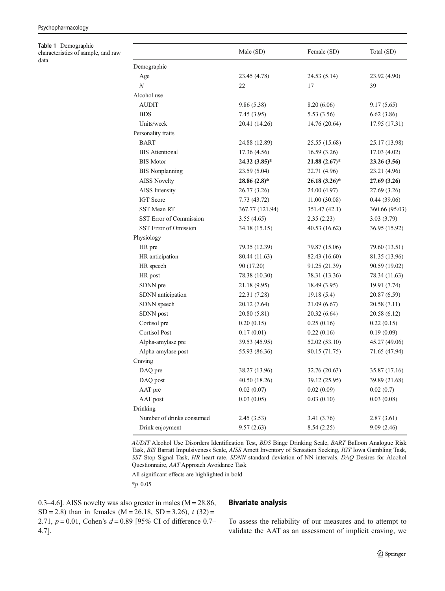<span id="page-6-0"></span>Table 1 Demographic characteristics of sample, and raw data

|                           | Male (SD)       | Female (SD)     | Total (SD)     |
|---------------------------|-----------------|-----------------|----------------|
| Demographic               |                 |                 |                |
| Age                       | 23.45 (4.78)    | 24.53 (5.14)    | 23.92 (4.90)   |
| $\boldsymbol{N}$          | 22              | 17              | 39             |
| Alcohol use               |                 |                 |                |
| <b>AUDIT</b>              | 9.86 (5.38)     | 8.20 (6.06)     | 9.17(5.65)     |
| <b>BDS</b>                | 7.45(3.95)      | 5.53 (3.56)     | 6.62(3.86)     |
| Units/week                | 20.41 (14.26)   | 14.76 (20.64)   | 17.95 (17.31)  |
| Personality traits        |                 |                 |                |
| <b>BART</b>               | 24.88 (12.89)   | 25.55 (15.68)   | 25.17 (13.98)  |
| <b>BIS</b> Attentional    | 17.36 (4.56)    | 16.59(3.26)     | 17.03(4.02)    |
| <b>BIS</b> Motor          | 24.32 (3.85)*   | $21.88(2.67)^*$ | 23.26 (3.56)   |
| <b>BIS</b> Nonplanning    | 23.59 (5.04)    | 22.71 (4.96)    | 23.21 (4.96)   |
| <b>AISS Novelty</b>       | $28.86(2.8)*$   | $26.18(3.26)^*$ | 27.69 (3.26)   |
| AISS Intensity            | 26.77 (3.26)    | 24.00 (4.97)    | 27.69 (3.26)   |
| <b>IGT</b> Score          | 7.73 (43.72)    | 11.00(30.08)    | 0.44(39.06)    |
| <b>SST Mean RT</b>        | 367.77 (121.94) | 351.47 (42.1)   | 360.66 (95.03) |
| SST Error of Commission   | 3.55(4.65)      | 2.35(2.23)      | 3.03(3.79)     |
| SST Error of Omission     | 34.18 (15.15)   | 40.53 (16.62)   | 36.95 (15.92)  |
| Physiology                |                 |                 |                |
| HR pre                    | 79.35 (12.39)   | 79.87 (15.06)   | 79.60 (13.51)  |
| HR anticipation           | 80.44 (11.63)   | 82.43 (16.60)   | 81.35 (13.96)  |
| HR speech                 | 90 (17.20)      | 91.25 (21.39)   | 90.59 (19.02)  |
| HR post                   | 78.38 (10.30)   | 78.31 (13.36)   | 78.34 (11.63)  |
| SDNN pre                  | 21.18 (9.95)    | 18.49 (3.95)    | 19.91 (7.74)   |
| SDNN anticipation         | 22.31 (7.28)    | 19.18(5.4)      | 20.87 (6.59)   |
| SDNN speech               | 20.12 (7.64)    | 21.09 (6.67)    | 20.58 (7.11)   |
| SDNN post                 | 20.80 (5.81)    | 20.32 (6.64)    | 20.58 (6.12)   |
| Cortisol pre              | 0.20(0.15)      | 0.25(0.16)      | 0.22(0.15)     |
| <b>Cortisol Post</b>      | 0.17(0.01)      | 0.22(0.16)      | 0.19(0.09)     |
| Alpha-amylase pre         | 39.53 (45.95)   | 52.02 (53.10)   | 45.27 (49.06)  |
| Alpha-amylase post        | 55.93 (86.36)   | 90.15 (71.75)   | 71.65 (47.94)  |
| Craving                   |                 |                 |                |
| DAQ pre                   | 38.27 (13.96)   | 32.76 (20.63)   | 35.87 (17.16)  |
| DAQ post                  | 40.50 (18.26)   | 39.12 (25.95)   | 39.89 (21.68)  |
| AAT pre                   | 0.02(0.07)      | 0.02(0.09)      | 0.02(0.7)      |
| AAT post                  | 0.03(0.05)      | 0.03(0.10)      | 0.03(0.08)     |
| Drinking                  |                 |                 |                |
| Number of drinks consumed | 2.45 (3.53)     | 3.41 (3.76)     | 2.87(3.61)     |
| Drink enjoyment           | 9.57(2.63)      | 8.54(2.25)      | 9.09(2.46)     |

AUDIT Alcohol Use Disorders Identification Test, BDS Binge Drinking Scale, BART Balloon Analogue Risk Task, BIS Barratt Impulsiveness Scale, AISS Arnett Inventory of Sensation Seeking, IGT Iowa Gambling Task, SST Stop Signal Task, HR heart rate, SDNN standard deviation of NN intervals, DAQ Desires for Alcohol Questionnaire, AAT Approach Avoidance Task

All significant effects are highlighted in bold

\*p 0.05

0.3–4.6]. AISS novelty was also greater in males ( $M = 28.86$ , SD = 2.8) than in females (M = 26.18, SD = 3.26),  $t$  (32) = 2.71,  $p = 0.01$ , Cohen's  $d = 0.89$  [95% CI of difference 0.7– 4.7].

# Bivariate analysis

To assess the reliability of our measures and to attempt to validate the AAT as an assessment of implicit craving, we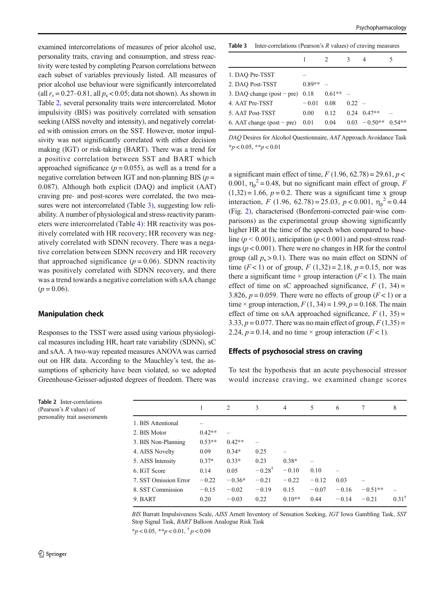examined intercorrelations of measures of prior alcohol use, personality traits, craving and consumption, and stress reactivity were tested by completing Pearson correlations between each subset of variables previously listed. All measures of prior alcohol use behaviour were significantly intercorrelated (all  $r_s = 0.27-0.81$ , all  $p_s < 0.05$ ; data not shown). As shown in Table 2, several personality traits were intercorrelated. Motor impulsivity (BIS) was positively correlated with sensation seeking (AISS novelty and intensity), and negatively correlated with omission errors on the SST. However, motor impulsivity was not significantly correlated with either decision making (IGT) or risk-taking (BART). There was a trend for a positive correlation between SST and BART which approached significance ( $p = 0.055$ ), as well as a trend for a negative correlation between IGT and non-planning BIS ( $p =$ 0.087). Although both explicit (DAQ) and implicit (AAT) craving pre- and post-scores were correlated, the two measures were not intercorrelated (Table 3), suggesting low reliability. A number of physiological and stress-reactivity parameters were intercorrelated (Table [4](#page-8-0)): HR reactivity was positively correlated with HR recovery; HR recovery was negatively correlated with SDNN recovery. There was a negative correlation between SDNN recovery and HR recovery that approached significance ( $p = 0.06$ ). SDNN reactivity was positively correlated with SDNN recovery, and there was a trend towards a negative correlation with sAA change  $(p = 0.06)$ .

# Manipulation check

Responses to the TSST were assed using various physiological measures including HR, heart rate variability (SDNN), sC and sAA. A two-way repeated measures ANOVA was carried out on HR data. According to the Mauchley's test, the assumptions of sphericity have been violated, so we adopted Greenhouse-Geisser-adjusted degrees of freedom. There was

**Table 3** Inter-correlations (Pearson's  $R$  values) of craving measures

|                              |          | $\mathcal{L}$ | 3        | 4                      | 5 |
|------------------------------|----------|---------------|----------|------------------------|---|
| 1. DAQ Pre-TSST              |          |               |          |                        |   |
| 2. DAQ Post-TSST             | $0.89**$ |               |          |                        |   |
| 3. DAQ change (post – pre)   | 0.18     | $0.61**$      |          |                        |   |
| 4. AAT Pre-TSST              | $-0.01$  | 0.08          | $0.22 -$ |                        |   |
| 5. AAT Post-TSST             | 0.00     | 0.12          |          | $0.24$ $0.47**$        |   |
| 6. AAT change (post $-$ pre) | 0.01     | 0.04          |          | $0.03 - 0.50**$ 0.54** |   |

DAQ Desires for Alcohol Questionnaire, AAT Approach Avoidance Task  $*<sub>p</sub> < 0.05, **<sub>p</sub> < 0.01$ 

a significant main effect of time,  $F(1.96, 62.78) = 29.61, p <$ 0.001,  $\eta_p^2 = 0.48$ , but no significant main effect of group, F  $(1,32) = 1.66$ ,  $p = 0.2$ . There was a significant time x group interaction, F (1.96, 62.78) = 25.03,  $p < 0.001$ ,  $\eta_p^2 = 0.44$ (Fig. [2](#page-8-0)), characterised (Bonferroni-corrected pair-wise comparisons) as the experimental group showing significantly higher HR at the time of the speech when compared to baseline ( $p < 0.001$ ), anticipation ( $p < 0.001$ ) and post-stress readings ( $p < 0.001$ ). There were no changes in HR for the control group (all  $p_s > 0.1$ ). There was no main effect on SDNN of time  $(F < 1)$  or of group,  $F(1,32) = 2.18$ ,  $p = 0.15$ , nor was there a significant time  $\times$  group interaction ( $F$  < 1). The main effect of time on sC approached significance,  $F(1, 34) =$ 3.826,  $p = 0.059$ . There were no effects of group ( $F < 1$ ) or a time  $\times$  group interaction,  $F(1, 34) = 1.99$ ,  $p = 0.168$ . The main effect of time on sAA approached significance,  $F(1, 35) =$ 3.33,  $p = 0.077$ . There was no main effect of group,  $F(1,35) =$ 2.24,  $p = 0.14$ , and no time  $\times$  group interaction ( $F < 1$ ).

### Effects of psychosocial stress on craving

To test the hypothesis that an acute psychosocial stressor would increase craving, we examined change scores

|                       | 1        | 2        | 3                 | $\overline{4}$ | 5       | 6       | 7         | 8                |
|-----------------------|----------|----------|-------------------|----------------|---------|---------|-----------|------------------|
| 1. BIS Attentional    |          |          |                   |                |         |         |           |                  |
| 2. BIS Motor          | $0.42**$ |          |                   |                |         |         |           |                  |
| 3. BIS Non-Planning   | $0.53**$ | $0.42**$ |                   |                |         |         |           |                  |
| 4. AISS Novelty       | 0.09     | $0.34*$  | 0.25              |                |         |         |           |                  |
| 5. AISS Intensity     | $0.37*$  | $0.33*$  | 0.23              | $0.38*$        |         |         |           |                  |
| 6. IGT Score          | 0.14     | 0.05     | $-0.28^{\dagger}$ | $-0.10$        | 0.10    |         |           |                  |
| 7. SST Omission Error | $-0.22$  | $-0.36*$ | $-0.21$           | $-0.22$        | $-0.12$ | 0.03    |           |                  |
| 8. SST Commission     | $-0.15$  | $-0.02$  | $-0.19$           | 0.15           | $-0.07$ | $-0.16$ | $-0.51**$ |                  |
| 9. BART               | 0.20     | $-0.03$  | 0.22              | $0.10**$       | 0.44    | $-0.14$ | $-0.21$   | $0.31^{\dagger}$ |
|                       |          |          |                   |                |         |         |           |                  |

BIS Barratt Impulsiveness Scale, AISS Arnett Inventory of Sensation Seeking, IGT Iowa Gambling Task, SST Stop Signal Task, BART Balloon Analogue Risk Task  $*_{p}$  < 0.05,  $*_{p}$  < 0.01,  $\dagger$   $p$  < 0.09

Table 2 Inter-correlations (Pearson's R values) of personality trait assessments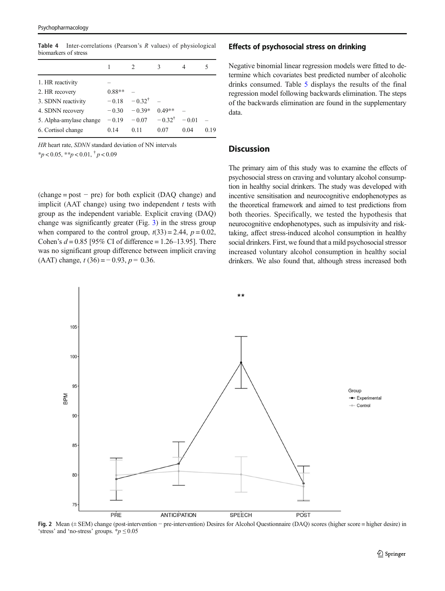|                         |          | 2                 | 3                 |          |      |
|-------------------------|----------|-------------------|-------------------|----------|------|
| 1. HR reactivity        |          |                   |                   |          |      |
| 2. HR recovery          | $0.88**$ |                   |                   |          |      |
| 3. SDNN reactivity      | $-0.18$  | $-0.32^{\dagger}$ |                   |          |      |
| 4. SDNN recovery        | $-0.30$  | $-0.39*$          | $0.49**$          |          |      |
| 5. Alpha-amylase change | $-0.19$  | $-0.07$           | $-0.32^{\dagger}$ | $= 0.01$ |      |
| 6. Cortisol change      | 0.14     | 0.11              | 0.07              | 0.04     | 0.19 |
|                         |          |                   |                   |          |      |

<span id="page-8-0"></span>**Table 4** Inter-correlations (Pearson's  $R$  values) of physiological biomarkers of stress

HR heart rate, SDNN standard deviation of NN intervals  $*_{p}$  < 0.05,  $*_{p}$  < 0.01,  $\dagger_{p}$  < 0.09

 $(charge = post - pre)$  for both explicit (DAQ change) and implicit (AAT change) using two independent  $t$  tests with group as the independent variable. Explicit craving (DAQ) change was significantly greater (Fig. [3\)](#page-9-0) in the stress group when compared to the control group,  $t(33) = 2.44$ ,  $p = 0.02$ , Cohen's  $d = 0.85$  [95% CI of difference = 1.26–13.95]. There was no significant group difference between implicit craving (AAT) change,  $t(36) = -0.93$ ,  $p = 0.36$ .

#### Effects of psychosocial stress on drinking

Negative binomial linear regression models were fitted to determine which covariates best predicted number of alcoholic drinks consumed. Table [5](#page-9-0) displays the results of the final regression model following backwards elimination. The steps of the backwards elimination are found in the supplementary data.

# **Discussion**

The primary aim of this study was to examine the effects of psychosocial stress on craving and voluntary alcohol consumption in healthy social drinkers. The study was developed with incentive sensitisation and neurocognitive endophenotypes as the theoretical framework and aimed to test predictions from both theories. Specifically, we tested the hypothesis that neurocognitive endophenotypes, such as impulsivity and risktaking, affect stress-induced alcohol consumption in healthy social drinkers. First, we found that a mild psychosocial stressor increased voluntary alcohol consumption in healthy social drinkers. We also found that, although stress increased both



Fig. 2 Mean (± SEM) change (post-intervention − pre-intervention) Desires for Alcohol Questionnaire (DAQ) scores (higher score = higher desire) in 'stress' and 'no-stress' groups.  $\frac{k}{p} \leq 0.05$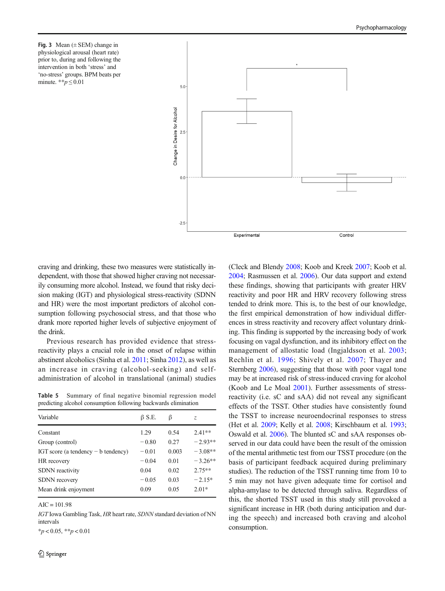<span id="page-9-0"></span>Fig. 3 Mean  $(\pm$  SEM) change in physiological arousal (heart rate) prior to, during and following the intervention in both 'stress' and 'no-stress' groups. BPM beats per minute. \*\* $p \leq 0.01$ 



craving and drinking, these two measures were statistically independent, with those that showed higher craving not necessarily consuming more alcohol. Instead, we found that risky decision making (IGT) and physiological stress-reactivity (SDNN and HR) were the most important predictors of alcohol consumption following psychosocial stress, and that those who drank more reported higher levels of subjective enjoyment of the drink.

Previous research has provided evidence that stressreactivity plays a crucial role in the onset of relapse within abstinent alcoholics (Sinha et al. [2011](#page-13-0); Sinha [2012\)](#page-13-0), as well as an increase in craving (alcohol-seeking) and selfadministration of alcohol in translational (animal) studies

Table 5 Summary of final negative binomial regression model predicting alcohol consumption following backwards elimination

| Variable                              | $\beta$ S.E. | ß     | Z.        |
|---------------------------------------|--------------|-------|-----------|
| Constant                              | 1.29         | 0.54  | $2.41**$  |
| Group (control)                       | $-0.80$      | 0.27  | $-2.93**$ |
| IGT score (a tendency $- b$ tendency) | $-0.01$      | 0.003 | $-3.08**$ |
| HR recovery                           | $-0.04$      | 0.01  | $-3.26**$ |
| <b>SDNN</b> reactivity                | 0.04         | 0.02  | $2.75**$  |
| <b>SDNN</b> recovery                  | $-0.05$      | 0.03  | $-2.15*$  |
| Mean drink enjoyment                  | 0.09         | 0.05  | $2.01*$   |
|                                       |              |       |           |

 $AIC = 101.98$ 

IGT Iowa Gambling Task, HR heart rate, SDNN standard deviation of NN intervals

 $*_{p}$  < 0.05,  $*_{p}$  < 0.01

(Cleck and Blendy [2008](#page-12-0); Koob and Kreek [2007](#page-13-0); Koob et al. [2004;](#page-13-0) Rasmussen et al. [2006](#page-13-0)). Our data support and extend these findings, showing that participants with greater HRV reactivity and poor HR and HRV recovery following stress tended to drink more. This is, to the best of our knowledge, the first empirical demonstration of how individual differences in stress reactivity and recovery affect voluntary drinking. This finding is supported by the increasing body of work focusing on vagal dysfunction, and its inhibitory effect on the management of allostatic load (Ingjaldsson et al. [2003;](#page-12-0) Rechlin et al. [1996](#page-13-0); Shively et al. [2007;](#page-13-0) Thayer and Sternberg [2006](#page-14-0)), suggesting that those with poor vagal tone may be at increased risk of stress-induced craving for alcohol (Koob and Le Moal [2001\)](#page-13-0). Further assessments of stressreactivity (i.e. sC and sAA) did not reveal any significant effects of the TSST. Other studies have consistently found the TSST to increase neuroendocrinal responses to stress (Het et al. [2009](#page-12-0); Kelly et al. [2008](#page-12-0); Kirschbaum et al. [1993;](#page-12-0) Oswald et al. [2006\)](#page-13-0). The blunted sC and sAA responses observed in our data could have been the result of the omission of the mental arithmetic test from our TSST procedure (on the basis of participant feedback acquired during preliminary studies). The reduction of the TSST running time from 10 to 5 min may not have given adequate time for cortisol and alpha-amylase to be detected through saliva. Regardless of this, the shorted TSST used in this study still provoked a significant increase in HR (both during anticipation and during the speech) and increased both craving and alcohol consumption.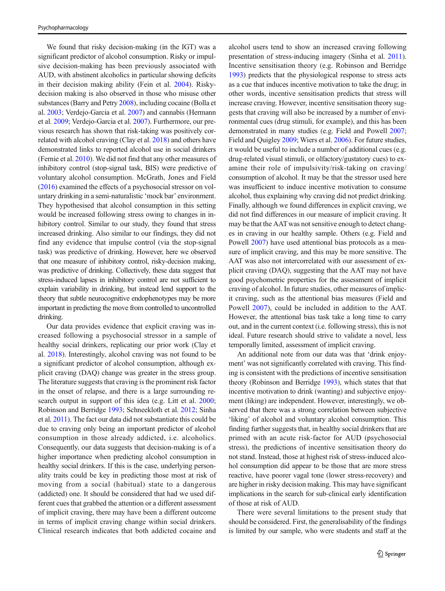We found that risky decision-making (in the IGT) was a significant predictor of alcohol consumption. Risky or impulsive decision-making has been previously associated with AUD, with abstinent alcoholics in particular showing deficits in their decision making ability (Fein et al. [2004](#page-12-0)). Riskydecision making is also observed in those who misuse other substances (Barry and Petry [2008\)](#page-12-0), including cocaine (Bolla et al. [2003;](#page-12-0) Verdejo-Garcia et al. [2007\)](#page-14-0) and cannabis (Hermann et al. [2009](#page-12-0); Verdejo-Garcia et al. [2007\)](#page-14-0). Furthermore, our previous research has shown that risk-taking was positively correlated with alcohol craving (Clay et al. [2018\)](#page-12-0) and others have demonstrated links to reported alcohol use in social drinkers (Fernie et al. [2010](#page-12-0)). We did not find that any other measures of inhibitory control (stop-signal task, BIS) were predictive of voluntary alcohol consumption. McGrath, Jones and Field [\(2016\)](#page-13-0) examined the effects of a psychosocial stressor on voluntary drinking in a semi-naturalistic 'mock bar' environment. They hypothesised that alcohol consumption in this setting would be increased following stress owing to changes in inhibitory control. Similar to our study, they found that stress increased drinking. Also similar to our findings, they did not find any evidence that impulse control (via the stop-signal task) was predictive of drinking. However, here we observed that one measure of inhibitory control, risky-decision making, was predictive of drinking. Collectively, these data suggest that stress-induced lapses in inhibitory control are not sufficient to explain variability in drinking, but instead lend support to the theory that subtle neurocognitive endophenotypes may be more important in predicting the move from controlled to uncontrolled drinking.

Our data provides evidence that explicit craving was increased following a psychosocial stressor in a sample of healthy social drinkers, replicating our prior work (Clay et al. [2018](#page-12-0)). Interestingly, alcohol craving was not found to be a significant predictor of alcohol consumption, although explicit craving (DAQ) change was greater in the stress group. The literature suggests that craving is the prominent risk factor in the onset of relapse, and there is a large surrounding research output in support of this idea (e.g. Litt et al. [2000](#page-13-0); Robinson and Berridge [1993](#page-13-0); Schneekloth et al. [2012;](#page-13-0) Sinha et al. [2011](#page-13-0)). The fact our data did not substantiate this could be due to craving only being an important predictor of alcohol consumption in those already addicted, i.e. alcoholics. Consequently, our data suggests that decision-making is of a higher importance when predicting alcohol consumption in healthy social drinkers. If this is the case, underlying personality traits could be key in predicting those most at risk of moving from a social (habitual) state to a dangerous (addicted) one. It should be considered that had we used different cues that grabbed the attention or a different assessment of implicit craving, there may have been a different outcome in terms of implicit craving change within social drinkers. Clinical research indicates that both addicted cocaine and

alcohol users tend to show an increased craving following presentation of stress-inducing imagery (Sinha et al. [2011\)](#page-13-0). Incentive sensitisation theory (e.g. Robinson and Berridge [1993\)](#page-13-0) predicts that the physiological response to stress acts as a cue that induces incentive motivation to take the drug; in other words, incentive sensitisation predicts that stress will increase craving. However, incentive sensitisation theory suggests that craving will also be increased by a number of environmental cues (drug stimuli, for example), and this has been demonstrated in many studies (e.g. Field and Powell [2007;](#page-12-0) Field and Quigley [2009](#page-12-0); Wiers et al. [2006\)](#page-14-0). For future studies, it would be useful to include a number of additional cues (e.g. drug-related visual stimuli, or olfactory/gustatory cues) to examine their role of impulsivity/risk-taking on craving/ consumption of alcohol. It may be that the stressor used here was insufficient to induce incentive motivation to consume alcohol, thus explaining why craving did not predict drinking. Finally, although we found differences in explicit craving, we did not find differences in our measure of implicit craving. It may be that the AATwas not sensitive enough to detect changes in craving in our healthy sample. Others (e.g. Field and Powell [2007\)](#page-12-0) have used attentional bias protocols as a measure of implicit craving, and this may be more sensitive. The AAT was also not intercorrelated with our assessment of explicit craving (DAQ), suggesting that the AAT may not have good psychometric properties for the assessment of implicit craving of alcohol. In future studies, other measures of implicit craving, such as the attentional bias measures (Field and Powell [2007](#page-12-0)), could be included in addition to the AAT. However, the attentional bias task take a long time to carry out, and in the current context (i.e. following stress), this is not ideal. Future research should strive to validate a novel, less temporally limited, assessment of implicit craving.

An additional note from our data was that 'drink enjoyment' was not significantly correlated with craving. This finding is consistent with the predictions of incentive sensitisation theory (Robinson and Berridge [1993\)](#page-13-0), which states that that incentive motivation to drink (wanting) and subjective enjoyment (liking) are independent. However, interestingly, we observed that there was a strong correlation between subjective 'liking' of alcohol and voluntary alcohol consumption. This finding further suggests that, in healthy social drinkers that are primed with an acute risk-factor for AUD (psychosocial stress), the predictions of incentive sensitisation theory do not stand. Instead, those at highest risk of stress-induced alcohol consumption did appear to be those that are more stress reactive, have poorer vagal tone (lower stress-recovery) and are higher in risky decision making. This may have significant implications in the search for sub-clinical early identification of those at risk of AUD.

There were several limitations to the present study that should be considered. First, the generalisability of the findings is limited by our sample, who were students and staff at the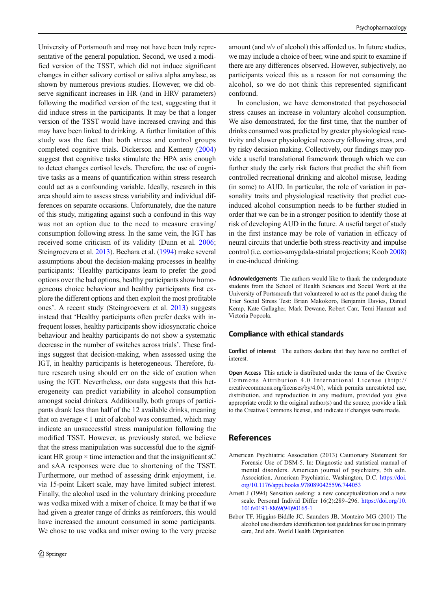<span id="page-11-0"></span>University of Portsmouth and may not have been truly representative of the general population. Second, we used a modified version of the TSST, which did not induce significant changes in either salivary cortisol or saliva alpha amylase, as shown by numerous previous studies. However, we did observe significant increases in HR (and in HRV parameters) following the modified version of the test, suggesting that it did induce stress in the participants. It may be that a longer version of the TSST would have increased craving and this may have been linked to drinking. A further limitation of this study was the fact that both stress and control groups completed cognitive trials. Dickerson and Kemeny ([2004\)](#page-12-0) suggest that cognitive tasks stimulate the HPA axis enough to detect changes cortisol levels. Therefore, the use of cognitive tasks as a means of quantification within stress research could act as a confounding variable. Ideally, research in this area should aim to assess stress variability and individual differences on separate occasions. Unfortunately, due the nature of this study, mitigating against such a confound in this way was not an option due to the need to measure craving/ consumption following stress. In the same vein, the IGT has received some criticism of its validity (Dunn et al. [2006](#page-12-0); Steingroevera et al. [2013](#page-13-0)). Bechara et al. [\(1994\)](#page-12-0) make several assumptions about the decision-making processes in healthy participants: 'Healthy participants learn to prefer the good options over the bad options, healthy participants show homogeneous choice behaviour and healthy participants first explore the different options and then exploit the most profitable ones'. A recent study (Steingroevera et al. [2013\)](#page-13-0) suggests instead that 'Healthy participants often prefer decks with infrequent losses, healthy participants show idiosyncratic choice behaviour and healthy participants do not show a systematic decrease in the number of switches across trials'. These findings suggest that decision-making, when assessed using the IGT, in healthy participants is heterogeneous. Therefore, future research using should err on the side of caution when using the IGT. Nevertheless, our data suggests that this heterogeneity can predict variability in alcohol consumption amongst social drinkers. Additionally, both groups of participants drank less than half of the 12 available drinks, meaning that on average < 1 unit of alcohol was consumed, which may indicate an unsuccessful stress manipulation following the modified TSST. However, as previously stated, we believe that the stress manipulation was successful due to the significant HR group  $\times$  time interaction and that the insignificant sC and sAA responses were due to shortening of the TSST. Furthermore, our method of assessing drink enjoyment, i.e. via 15-point Likert scale, may have limited subject interest. Finally, the alcohol used in the voluntary drinking procedure was vodka mixed with a mixer of choice. It may be that if we had given a greater range of drinks as reinforcers, this would have increased the amount consumed in some participants. We chose to use vodka and mixer owing to the very precise

amount (and  $v/v$  of alcohol) this afforded us. In future studies, we may include a choice of beer, wine and spirit to examine if there are any differences observed. However, subjectively, no participants voiced this as a reason for not consuming the alcohol, so we do not think this represented significant confound.

In conclusion, we have demonstrated that psychosocial stress causes an increase in voluntary alcohol consumption. We also demonstrated, for the first time, that the number of drinks consumed was predicted by greater physiological reactivity and slower physiological recovery following stress, and by risky decision making. Collectively, our findings may provide a useful translational framework through which we can further study the early risk factors that predict the shift from controlled recreational drinking and alcohol misuse, leading (in some) to AUD. In particular, the role of variation in personality traits and physiological reactivity that predict cueinduced alcohol consumption needs to be further studied in order that we can be in a stronger position to identify those at risk of developing AUD in the future. A useful target of study in the first instance may be role of variation in efficacy of neural circuits that underlie both stress-reactivity and impulse control (i.e. cortico-amygdala-striatal projections; Koob [2008](#page-13-0)) in cue-induced drinking.

Acknowledgements The authors would like to thank the undergraduate students from the School of Health Sciences and Social Work at the University of Portsmouth that volunteered to act as the panel during the Trier Social Stress Test: Brian Makokoro, Benjamin Davies, Daniel Kemp, Kate Gallagher, Mark Dewane, Robert Carr, Temi Hamzat and Victoria Popoola.

# Compliance with ethical standards

Conflict of interest The authors declare that they have no conflict of interest.

Open Access This article is distributed under the terms of the Creative Commons Attribution 4.0 International License (http:// creativecommons.org/licenses/by/4.0/), which permits unrestricted use, distribution, and reproduction in any medium, provided you give appropriate credit to the original author(s) and the source, provide a link to the Creative Commons license, and indicate if changes were made.

# References

- American Psychiatric Association (2013) Cautionary Statement for Forensic Use of DSM-5. In: Diagnostic and statistical manual of mental disorders. American journal of psychiatry, 5th edn. Association, American Psychiatric, Washington, D.C. [https://doi.](https://doi.org/10.1176/appi.books.9780890425596.744053) [org/10.1176/appi.books.9780890425596.744053](https://doi.org/10.1176/appi.books.9780890425596.744053)
- Arnett J (1994) Sensation seeking: a new conceptualization and a new scale. Personal Individ Differ 16(2):289–296. [https://doi.org/10.](https://doi.org/10.1016/0191-8869(94)90165-1) [1016/0191-8869\(94\)90165-1](https://doi.org/10.1016/0191-8869(94)90165-1)
- Babor TF, Higgins-Biddle JC, Saunders JB, Monteiro MG (2001) The alcohol use disorders identification test guidelines for use in primary care, 2nd edn. World Health Organisation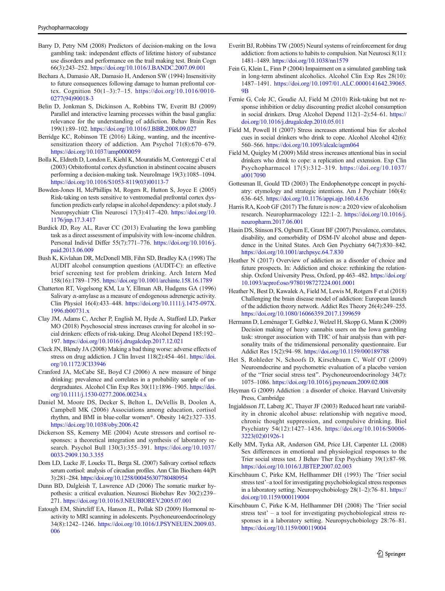- <span id="page-12-0"></span>Barry D, Petry NM (2008) Predictors of decision-making on the Iowa gambling task: independent effects of lifetime history of substance use disorders and performance on the trail making test. Brain Cogn 66(3):243–252. <https://doi.org/10.1016/J.BANDC.2007.09.001>
- Bechara A, Damasio AR, Damasio H, Anderson SW (1994) Insensitivity to future consequences following damage to human prefrontal cortex. Cognition 50(1–3):7–15. [https://doi.org/10.1016/0010-](https://doi.org/10.1016/0010-0277(94)90018-3) [0277\(94\)90018-3](https://doi.org/10.1016/0010-0277(94)90018-3)
- Belin D, Jonkman S, Dickinson A, Robbins TW, Everitt BJ (2009) Parallel and interactive learning processes within the basal ganglia: relevance for the understanding of addiction. Behav Brain Res 199(1):89–102. <https://doi.org/10.1016/J.BBR.2008.09.027>
- Berridge KC, Robinson TE (2016) Liking, wanting, and the incentivesensitization theory of addiction. Am Psychol 71(8):670–679. <https://doi.org/10.1037/amp0000059>
- Bolla K, Eldreth D, London E, Kiehl K, Mouratidis M, Contoreggi C et al (2003) Orbitofrontal cortex dysfunction in abstinent cocaine abusers performing a decision-making task. NeuroImage 19(3):1085–1094. [https://doi.org/10.1016/S1053-8119\(03\)00113-7](https://doi.org/10.1016/S1053-8119(03)00113-7)
- Bowden-Jones H, McPhillips M, Rogers R, Hutton S, Joyce E (2005) Risk-taking on tests sensitive to ventromedial prefrontal cortex dysfunction predicts early relapse in alcohol dependency: a pilot study. J Neuropsychiatr Clin Neurosci 17(3):417–420. [https://doi.org/10.](https://doi.org/10.1176/jnp.17.3.417) [1176/jnp.17.3.417](https://doi.org/10.1176/jnp.17.3.417)
- Burdick JD, Roy AL, Raver CC (2013) Evaluating the Iowa gambling task as a direct assessment of impulsivity with low-income children. Personal Individ Differ 55(7):771–776. [https://doi.org/10.1016/j.](https://doi.org/10.1016/j.paid.2013.06.009) [paid.2013.06.009](https://doi.org/10.1016/j.paid.2013.06.009)
- Bush K, Kivlahan DR, McDonell MB, Fihn SD, Bradley KA (1998) The AUDIT alcohol consumption questions (AUDIT-C): an effective brief screening test for problem drinking. Arch Intern Med 158(16):1789–1795. <https://doi.org/10.1001/archinte.158.16.1789>
- Chatterton RT, Vogelsong KM, Lu Y, Ellman AB, Hudgens GA (1996) Salivary α-amylase as a measure of endogenous adrenergic activity. Clin Physiol 16(4):433–448. [https://doi.org/10.1111/j.1475-097X.](https://doi.org/10.1111/j.1475-097X.1996.tb00731.x) [1996.tb00731.x](https://doi.org/10.1111/j.1475-097X.1996.tb00731.x)
- Clay JM, Adams C, Archer P, English M, Hyde A, Stafford LD, Parker MO (2018) Psychosocial stress increases craving for alcohol in social drinkers: effects of risk-taking. Drug Alcohol Depend 185:192– 197. <https://doi.org/10.1016/j.drugalcdep.2017.12.021>
- Cleck JN, Blendy JA (2008) Making a bad thing worse: adverse effects of stress on drug addiction. J Clin Invest 118(2):454–461. [https://doi.](https://doi.org/10.1172/JCI33946) [org/10.1172/JCI33946](https://doi.org/10.1172/JCI33946)
- Cranford JA, McCabe SE, Boyd CJ (2006) A new measure of binge drinking: prevalence and correlates in a probability sample of undergraduates. Alcohol Clin Exp Res 30(11):1896-1905. [https://doi.](https://doi.org/10.1111/j.1530-0277.2006.00234.x) [org/10.1111/j.1530-0277.2006.00234.x](https://doi.org/10.1111/j.1530-0277.2006.00234.x)
- Daniel M, Moore DS, Decker S, Belton L, DeVellis B, Doolen A, Campbell MK (2006) Associations among education, cortisol rhythm, and BMI in blue-collar women\*. Obesity 14(2):327–335. <https://doi.org/10.1038/oby.2006.42>
- Dickerson SS, Kemeny ME (2004) Acute stressors and cortisol responses: a theoretical integration and synthesis of laboratory research. Psychol Bull 130(3):355–391. [https://doi.org/10.1037/](https://doi.org/10.1037/0033-2909.130.3.355) [0033-2909.130.3.355](https://doi.org/10.1037/0033-2909.130.3.355)
- Dorn LD, Lucke JF, Loucks TL, Berga SL (2007) Salivary cortisol reflects serum cortisol: analysis of circadian profiles. Ann Clin Biochem 44(Pt 3):281–284. <https://doi.org/10.1258/000456307780480954>
- Dunn BD, Dalgleish T, Lawrence AD (2006) The somatic marker hypothesis: a critical evaluation. Neurosci Biobehav Rev 30(2):239– 271. <https://doi.org/10.1016/J.NEUBIOREV.2005.07.001>
- Eatough EM, Shirtcliff EA, Hanson JL, Pollak SD (2009) Hormonal reactivity to MRI scanning in adolescents. Psychoneuroendocrinology 34(8):1242–1246. [https://doi.org/10.1016/J.PSYNEUEN.2009.03.](https://doi.org/10.1016/J.PSYNEUEN.2009.03.006) [006](https://doi.org/10.1016/J.PSYNEUEN.2009.03.006)
- Everitt BJ, Robbins TW (2005) Neural systems of reinforcement for drug addiction: from actions to habits to compulsion. Nat Neurosci 8(11): 1481–1489. <https://doi.org/10.1038/nn1579>
- Fein G, Klein L, Finn P (2004) Impairment on a simulated gambling task in long-term abstinent alcoholics. Alcohol Clin Exp Res 28(10): 1487–1491. [https://doi.org/10.1097/01.ALC.0000141642.39065.](https://doi.org/10.1097/01.ALC.0000141642.39065.9B) [9B](https://doi.org/10.1097/01.ALC.0000141642.39065.9B)
- Fernie G, Cole JC, Goudie AJ, Field M (2010) Risk-taking but not response inhibition or delay discounting predict alcohol consumption in social drinkers. Drug Alcohol Depend 112(1–2):54–61. [https://](https://doi.org/10.1016/j.drugalcdep.2010.05.011) [doi.org/10.1016/j.drugalcdep.2010.05.011](https://doi.org/10.1016/j.drugalcdep.2010.05.011)
- Field M, Powell H (2007) Stress increases attentional bias for alcohol cues in social drinkers who drink to cope. Alcohol Alcohol 42(6): 560–566. <https://doi.org/10.1093/alcalc/agm064>
- Field M, Quigley M (2009) Mild stress increases attentional bias in social drinkers who drink to cope: a replication and extension. Exp Clin Psychopharmacol 17(5):312–319. [https://doi.org/10.1037/](https://doi.org/10.1037/a0017090) [a0017090](https://doi.org/10.1037/a0017090)
- Gottesman II, Gould TD (2003) The Endophenotype concept in psychiatry: etymology and strategic intentions. Am J Psychiatr 160(4): 636–645. <https://doi.org/10.1176/appi.ajp.160.4.636>
- Harris RA, Koob GF (2017) The future is now: a 2020 view of alcoholism research. Neuropharmacology 122:1–2. [https://doi.org/10.1016/j.](https://doi.org/10.1016/j.neuropharm.2017.06.001) [neuropharm.2017.06.001](https://doi.org/10.1016/j.neuropharm.2017.06.001)
- Hasin DS, Stinson FS, Ogburn E, Grant BF (2007) Prevalence, correlates, disability, and comorbidity of DSM-IV alcohol abuse and dependence in the United States. Arch Gen Psychiatry 64(7):830–842. <https://doi.org/10.1001/archpsyc.64.7.830>
- Heather N (2017) Overview of addiction as a disorder of choice and future prospects. In: Addiction and choice: rethinking the relationship. Oxford University Press, Oxford, pp 463–482. [https://doi.org/](https://doi.org/10.1093/acprof:oso/9780198727224.001.0001) [10.1093/acprof:oso/9780198727224.001.0001](https://doi.org/10.1093/acprof:oso/9780198727224.001.0001)
- Heather N, Best D, Kawalek A, Field M, Lewis M, Rotgers F et al (2018) Challenging the brain disease model of addiction: European launch of the addiction theory network. Addict Res Theory 26(4):249–255. <https://doi.org/10.1080/16066359.2017.1399659>
- Hermann D, Leménager T, Gelbke J, Welzel H, Skopp G, Mann K (2009) Decision making of heavy cannabis users on the Iowa gambling task: stronger association with THC of hair analysis than with personality traits of the tridimensional personality questionnaire. Eur Addict Res 15(2):94–98. <https://doi.org/10.1159/000189788>
- Het S, Rohleder N, Schoofs D, Kirschbaum C, Wolf OT (2009) Neuroendocrine and psychometric evaluation of a placebo version of the "Trier social stress test". Psychoneuroendocrinology 34(7): 1075–1086. <https://doi.org/10.1016/j.psyneuen.2009.02.008>
- Heyman G (2009) Addiction : a disorder of choice. Harvard University Press, Cambridge
- Ingjaldsson JT, Laberg JC, Thayer JF (2003) Reduced heart rate variability in chronic alcohol abuse: relationship with negative mood, chronic thought suppression, and compulsive drinking. Biol Psychiatry 54(12):1427–1436. [https://doi.org/10.1016/S0006-](https://doi.org/10.1016/S0006-3223(02)01926-1) [3223\(02\)01926-1](https://doi.org/10.1016/S0006-3223(02)01926-1)
- Kelly MM, Tyrka AR, Anderson GM, Price LH, Carpenter LL (2008) Sex differences in emotional and physiological responses to the Trier social stress test. J Behav Ther Exp Psychiatry 39(1):87–98. <https://doi.org/10.1016/J.JBTEP.2007.02.003>
- Kirschbaum C, Pirke KM, Hellhammer DH (1993) The 'Trier social stress test'–a tool for investigating psychobiological stress responses in a laboratory setting. Neuropsychobiology 28(1–2):76–81. [https://](https://doi.org/10.1159/000119004) [doi.org/10.1159/000119004](https://doi.org/10.1159/000119004)
- Kirschbaum C, Pirke K-M, Hellhammer DH (2008) The 'Trier social stress test' – a tool for investigating psychobiological stress responses in a laboratory setting. Neuropsychobiology 28:76–81. <https://doi.org/10.1159/000119004>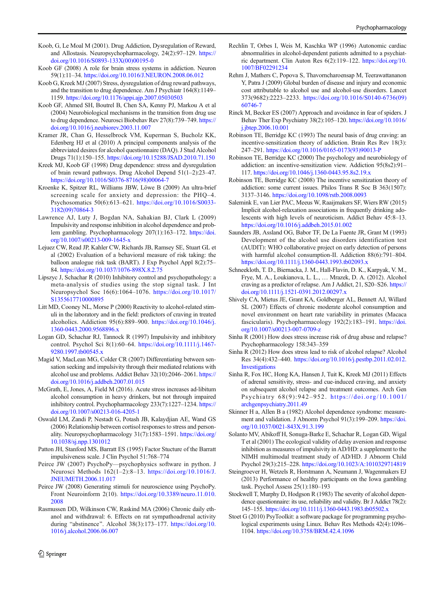- <span id="page-13-0"></span>Koob, G, Le Moal M (2001). Drug Addiction, Dysregulation of Reward, and Allostasis. Neuropsychopharmacology, 24(2):97–129. [https://](https://doi.org/10.1016/S0893-133X(00)00195-0) [doi.org/10.1016/S0893-133X\(00\)00195-0](https://doi.org/10.1016/S0893-133X(00)00195-0)
- Koob GF (2008) A role for brain stress systems in addiction. Neuron 59(1):11–34. <https://doi.org/10.1016/J.NEURON.2008.06.012>
- Koob G, Kreek MJ (2007) Stress, dysregulation of drug reward pathways, and the transition to drug dependence. Am J Psychiatr 164(8):1149– 1159. <https://doi.org/10.1176/appi.ajp.2007.05030503>
- Koob GF, Ahmed SH, Boutrel B, Chen SA, Kenny PJ, Markou A et al (2004) Neurobiological mechanisms in the transition from drug use to drug dependence. Neurosci Biobehav Rev 27(8):739–749. [https://](https://doi.org/10.1016/j.neubiorev.2003.11.007) [doi.org/10.1016/j.neubiorev.2003.11.007](https://doi.org/10.1016/j.neubiorev.2003.11.007)
- Kramer JR, Chan G, Hesselbrock VM, Kuperman S, Bucholz KK, Edenberg HJ et al (2010) A principal components analysis of the abbreviated desires for alcohol questionnaire (DAQ). J Stud Alcohol Drugs 71(1):150–155. <https://doi.org/10.15288/JSAD.2010.71.150>
- Kreek MJ, Koob GF (1998) Drug dependence: stress and dysregulation of brain reward pathways. Drug Alcohol Depend 51(1–2):23–47. [https://doi.org/10.1016/S0376-8716\(98\)00064-7](https://doi.org/10.1016/S0376-8716(98)00064-7)
- Kroenke K, Spitzer RL, Williams JBW, Löwe B (2009) An ultra-brief screening scale for anxiety and depression: the PHQ–4. Psychosomatics 50(6):613–621. [https://doi.org/10.1016/S0033-](https://doi.org/10.1016/S0033-3182(09)70864-3) [3182\(09\)70864-3](https://doi.org/10.1016/S0033-3182(09)70864-3)
- Lawrence AJ, Luty J, Bogdan NA, Sahakian BJ, Clark L (2009) Impulsivity and response inhibition in alcohol dependence and problem gambling. Psychopharmacology 207(1):163–172. [https://doi.](https://doi.org/10.1007/s00213-009-1645-x) [org/10.1007/s00213-009-1645-x](https://doi.org/10.1007/s00213-009-1645-x)
- Lejuez CW, Read JP, Kahler CW, Richards JB, Ramsey SE, Stuart GL et al (2002) Evaluation of a behavioral measure of risk taking: the balloon analogue risk task (BART). J Exp Psychol Appl 8(2):75– 84. <https://doi.org/10.1037/1076-898X.8.2.75>
- Lipszyc J, Schachar R (2010) Inhibitory control and psychopathology: a meta-analysis of studies using the stop signal task. J Int Neuropsychol Soc 16(6):1064–1076. [https://doi.org/10.1017/](https://doi.org/10.1017/S1355617710000895) [S1355617710000895](https://doi.org/10.1017/S1355617710000895)
- Litt MD, Cooney NL, Morse P (2000) Reactivity to alcohol-related stimuli in the laboratory and in the field: predictors of craving in treated alcoholics. Addiction 95(6):889–900. [https://doi.org/10.1046/j.](https://doi.org/10.1046/j.1360-0443.2000.9568896.x) [1360-0443.2000.9568896.x](https://doi.org/10.1046/j.1360-0443.2000.9568896.x)
- Logan GD, Schachar RJ, Tannock R (1997) Impulsivity and inhibitory control. Psychol Sci 8(1):60–64. [https://doi.org/10.1111/j.1467-](https://doi.org/10.1111/j.1467-9280.1997.tb00545.x) [9280.1997.tb00545.x](https://doi.org/10.1111/j.1467-9280.1997.tb00545.x)
- Magid V, MacLean MG, Colder CR (2007) Differentiating between sensation seeking and impulsivity through their mediated relations with alcohol use and problems. Addict Behav 32(10):2046–2061. [https://](https://doi.org/10.1016/j.addbeh.2007.01.015) [doi.org/10.1016/j.addbeh.2007.01.015](https://doi.org/10.1016/j.addbeh.2007.01.015)
- McGrath, E, Jones, A, Field M (2016). Acute stress increases ad-libitum alcohol consumption in heavy drinkers, but not through impaired inhibitory control. Psychopharmacology 233(7):1227–1234. [https://](https://doi.org/10.1007/s00213-016-4205-1) [doi.org/10.1007/s00213-016-4205-1](https://doi.org/10.1007/s00213-016-4205-1)
- Oswald LM, Zandi P, Nestadt G, Potash JB, Kalaydjian AE, Wand GS (2006) Relationship between cortisol responses to stress and personality. Neuropsychopharmacology 31(7):1583–1591. [https://doi.org/](https://doi.org/10.1038/sj.npp.1301012) [10.1038/sj.npp.1301012](https://doi.org/10.1038/sj.npp.1301012)
- Patton JH, Stanford MS, Barratt ES (1995) Factor Stucture of the Barratt impulsiveness scale. J Clin Psychol 51:768–774
- Peirce JW (2007) PsychoPy—psychophysics software in python. J Neurosci Methods 162(1–2):8–13. [https://doi.org/10.1016/J.](https://doi.org/10.1016/J.JNEUMETH.2006.11.017) [JNEUMETH.2006.11.017](https://doi.org/10.1016/J.JNEUMETH.2006.11.017)
- Peirce JW (2008) Generating stimuli for neuroscience using PsychoPy. Front Neuroinform 2(10). [https://doi.org/10.3389/neuro.11.010.](https://doi.org/10.3389/neuro.11.010.2008) [2008](https://doi.org/10.3389/neuro.11.010.2008)
- Rasmussen DD, Wilkinson CW, Raskind MA (2006) Chronic daily ethanol and withdrawal: 6. Effects on rat sympathoadrenal activity during "abstinence". Alcohol  $38(3)$ :173–177. [https://doi.org/10.](https://doi.org/10.1016/j.alcohol.2006.06.007) [1016/j.alcohol.2006.06.007](https://doi.org/10.1016/j.alcohol.2006.06.007)
- Rechlin T, Orbes I, Weis M, Kaschka WP (1996) Autonomic cardiac abnormalities in alcohol-dependent patients admitted to a psychiatric department. Clin Auton Res 6(2):119–122. [https://doi.org/10.](https://doi.org/10.1007/BF02291234) [1007/BF02291234](https://doi.org/10.1007/BF02291234)
- Rehm J, Mathers C, Popova S, Thavorncharoensap M, Teerawattananon Y, Patra J (2009) Global burden of disease and injury and economic cost attributable to alcohol use and alcohol-use disorders. Lancet 373(9682):2223–2233. [https://doi.org/10.1016/S0140-6736\(09\)](https://doi.org/10.1016/S0140-6736(09)60746-7) [60746-7](https://doi.org/10.1016/S0140-6736(09)60746-7)
- Rinck M, Becker ES (2007) Approach and avoidance in fear of spiders. J Behav Ther Exp Psychiatry 38(2):105–120. [https://doi.org/10.1016/](https://doi.org/10.1016/j.jbtep.2006.10.001) [j.jbtep.2006.10.001](https://doi.org/10.1016/j.jbtep.2006.10.001)
- Robinson TE, Berridge KC (1993) The neural basis of drug craving: an incentive-sensitization theory of addiction. Brain Res Rev 18(3): 247–291. [https://doi.org/10.1016/0165-0173\(93\)90013-P](https://doi.org/10.1016/0165-0173(93)90013-P)
- Robinson TE, Berridge KC (2000) The psychology and neurobiology of addiction: an incentive-sensitization view. Addiction 95(8s2):91– 117. <https://doi.org/10.1046/j.1360-0443.95.8s2.19.x>
- Robinson TE, Berridge KC (2008) The incentive sensitization theory of addiction: some current issues. Philos Trans R Soc B 363(1507): 3137–3146. <https://doi.org/10.1098/rstb.2008.0093>
- Salemink E, van Lier PAC, Meeus W, Raaijmakers SF, Wiers RW (2015) Implicit alcohol-relaxation associations in frequently drinking adolescents with high levels of neuroticism. Addict Behav 45:8–13. <https://doi.org/10.1016/j.addbeh.2015.01.002>
- Saunders JB, Assland OG, Babor TF, De La Fuente JR, Grant M (1993) Development of the alcohol use disorders identification test (AUDIT): WHO collaborative project on early detection of persons with harmful alcohol consumption-II. Addiction 88(6):791–804. <https://doi.org/10.1111/j.1360-0443.1993.tb02093.x>
- Schneekloth, T. D., Biernacka, J. M., Hall-Flavin, D. K., Karpyak, V. M., Frye, M. A., Loukianova, L. L., … Mrazek, D. A. (2012). Alcohol craving as a predictor of relapse. Am J Addict, 21, S20–S26. [https://](https://doi.org/10.1111/j.1521-0391.2012.00297.x) [doi.org/10.1111/j.1521-0391.2012.00297.x](https://doi.org/10.1111/j.1521-0391.2012.00297.x)
- Shively CA, Mietus JE, Grant KA, Goldberger AL, Bennett AJ, Willard SL (2007) Effects of chronic moderate alcohol consumption and novel environment on heart rate variability in primates (Macaca fascicularis). Psychopharmacology 192(2):183–191. [https://doi.](https://doi.org/10.1007/s00213-007-0709-z) [org/10.1007/s00213-007-0709-z](https://doi.org/10.1007/s00213-007-0709-z)
- Sinha R (2001) How does stress increase risk of drug abuse and relapse? Psychopharmacology 158:343–359
- Sinha R (2012) How does stress lead to risk of alcohol relapse? Alcohol Res 34(4):432–440. [https://doi.org/10.1016/j.pestbp.2011.02.012.](https://doi.org/10.1016/j.pestbp.2011.02.012.Investigations) [Investigations](https://doi.org/10.1016/j.pestbp.2011.02.012.Investigations)
- Sinha R, Fox HC, Hong KA, Hansen J, Tuit K, Kreek MJ (2011) Effects of adrenal sensitivity, stress- and cue-induced craving, and anxiety on subsequent alcohol relapse and treatment outcomes. Arch Gen Psychiatry 68(9):942–952. [https://doi.org/10.1001/](https://doi.org/10.1001/archgenpsychiatry.2011.49) [archgenpsychiatry.2011.49](https://doi.org/10.1001/archgenpsychiatry.2011.49)
- Skinner H a, Allen B a (1982) Alcohol dependence syndrome: measurement and validation. J Abnorm Psychol 91(3):199–209. [https://doi.](https://doi.org/10.1037/0021-843X.91.3.199) [org/10.1037/0021-843X.91.3.199](https://doi.org/10.1037/0021-843X.91.3.199)
- Solanto MV, Abikoff H, Sonuga-Barke E, Schachar R, Logan GD, Wigal T et al (2001) The ecological validity of delay aversion and response inhibition as measures of impulsivity in AD/HD: a supplement to the NIMH multimodal treatment study of AD/HD. J Abnorm Child Psychol 29(3):215–228. <https://doi.org/10.1023/A:1010329714819>
- Steingroever H, Wetzels R, Horstmann A, Neumann J, Wagenmakers EJ (2013) Performance of healthy participants on the Iowa gambling task. Psychol Assess 25(1):180–193
- Stockwell T, Murphy D, Hodgson R (1983) The severity of alcohol dependence questionnaire: its use, reliability and validity. Br J Addict 78(2): 145–155. <https://doi.org/10.1111/j.1360-0443.1983.tb05502.x>
- Stoet G (2010) PsyToolkit: a software package for programming psychological experiments using Linux. Behav Res Methods 42(4):1096– 1104. <https://doi.org/10.3758/BRM.42.4.1096>